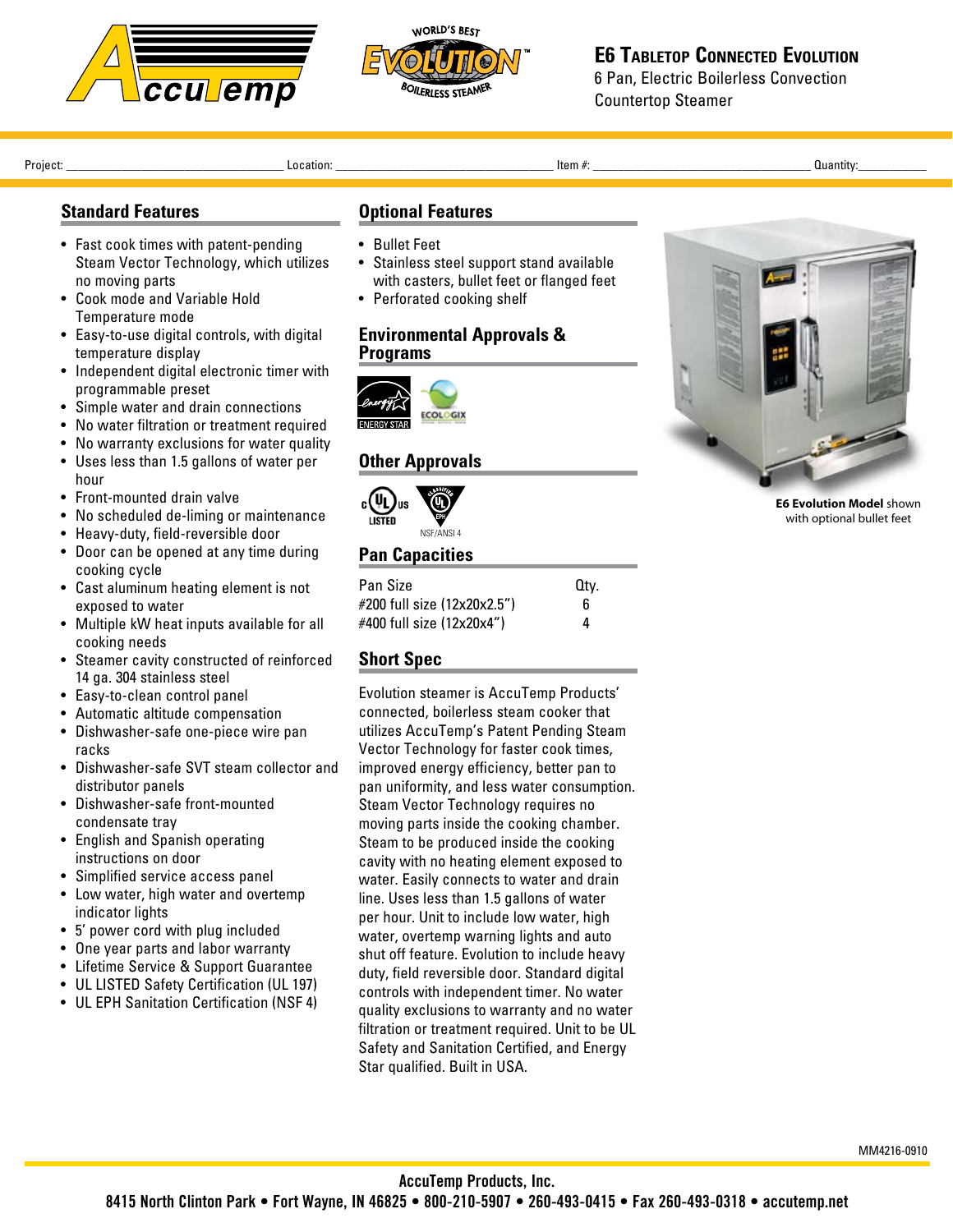



# **E6 Tabletop Connected Evolution**

6 Pan, Electric Boilerless Convection Countertop Steamer

Project: \_\_\_\_\_\_\_\_\_\_\_\_\_\_\_\_\_\_\_\_\_\_\_\_\_\_\_\_\_\_\_\_\_\_\_ Location: \_\_\_\_\_\_\_\_\_\_\_\_\_\_\_\_\_\_\_\_\_\_\_\_\_\_\_\_\_\_\_\_\_\_\_ Item #: \_\_\_\_\_\_\_\_\_\_\_\_\_\_\_\_\_\_\_\_\_\_\_\_\_\_\_\_\_\_\_\_\_\_\_ Quantity:\_\_\_\_\_\_\_\_\_\_\_ 

# **Standard Features**

- Fast cook times with patent-pending Steam Vector Technology, which utilizes no moving parts
- Cook mode and Variable Hold Temperature mode
- Easy-to-use digital controls, with digital temperature display
- Independent digital electronic timer with programmable preset
- Simple water and drain connections
- No water filtration or treatment required
- No warranty exclusions for water quality
- • Uses less than 1.5 gallons of water per hour
- Front-mounted drain valve
- No scheduled de-liming or maintenance
- Heavy-duty, field-reversible door
- Door can be opened at any time during cooking cycle
- • Cast aluminum heating element is not exposed to water
- Multiple kW heat inputs available for all cooking needs
- • Steamer cavity constructed of reinforced 14 ga. 304 stainless steel
- Easy-to-clean control panel
- • Automatic altitude compensation
- • Dishwasher-safe one-piece wire pan racks
- Dishwasher-safe SVT steam collector and distributor panels
- • Dishwasher-safe front-mounted condensate tray
- English and Spanish operating instructions on door
- • Simplified service access panel
- Low water, high water and overtemp indicator lights
- • 5' power cord with plug included
- One year parts and labor warranty
- • Lifetime Service & Support Guarantee
- UL LISTED Safety Certification (UL 197)
- UL EPH Sanitation Certification (NSF 4)

## **Optional Features**

- • Bullet Feet
- Stainless steel support stand available with casters, bullet feet or flanged feet
- Perforated cooking shelf

#### **Environmental Approvals & Programs**



## **Other Approvals**



## **Pan Capacities**

| <b>Pan Size</b>             | Qtv. |
|-----------------------------|------|
| #200 full size (12x20x2.5") | 6    |
| #400 full size (12x20x4")   | 4    |

# **Short Spec**

Evolution steamer is AccuTemp Products' connected, boilerless steam cooker that utilizes AccuTemp's Patent Pending Steam Vector Technology for faster cook times, improved energy efficiency, better pan to pan uniformity, and less water consumption. Steam Vector Technology requires no moving parts inside the cooking chamber. Steam to be produced inside the cooking cavity with no heating element exposed to water. Easily connects to water and drain line. Uses less than 1.5 gallons of water per hour. Unit to include low water, high water, overtemp warning lights and auto shut off feature. Evolution to include heavy duty, field reversible door. Standard digital controls with independent timer. No water quality exclusions to warranty and no water filtration or treatment required. Unit to be UL Safety and Sanitation Certified, and Energy Star qualified. Built in USA.



**E6 Evolution Model** shown with optional bullet feet

MM4216-0910